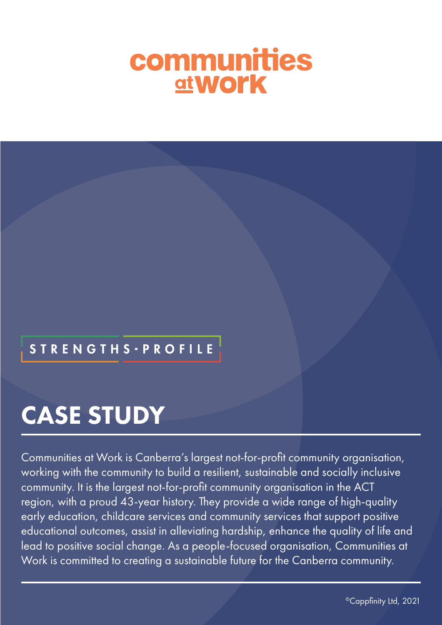# communities **at Work**

## **STRENGTHS - PROFILE**

## CASE STUDY

Communities at Work is Canberra's largest not-for-profit community organisation, working with the community to build a resilient, sustainable and socially inclusive community. It is the largest not-for-profit community organisation in the ACT region, with a proud 43-year history. They provide a wide range of high-quality early education, childcare services and community services that support positive educational outcomes, assist in alleviating hardship, enhance the quality of life and lead to positive social change. As a people-focused organisation, Communities at Work is committed to creating a sustainable future for the Canberra community.